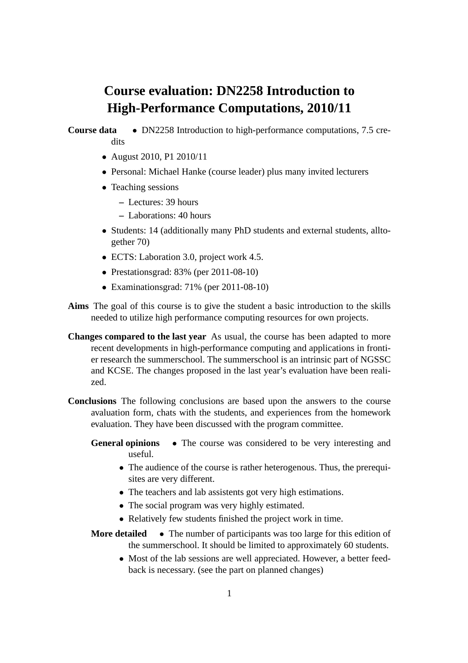## **Course evaluation: DN2258 Introduction to High-Performance Computations, 2010/11**

## **Course data** • DN2258 Introduction to high-performance computations, 7.5 credits

- August 2010, P1 2010/11
- Personal: Michael Hanke (course leader) plus many invited lecturers
- Teaching sessions
	- **–** Lectures: 39 hours
	- **–** Laborations: 40 hours
- Students: 14 (additionally many PhD students and external students, alltogether 70)
- ECTS: Laboration 3.0, project work 4.5.
- Prestationsgrad: 83% (per 2011-08-10)
- Examinationsgrad: 71% (per 2011-08-10)
- **Aims** The goal of this course is to give the student a basic introduction to the skills needed to utilize high performance computing resources for own projects.
- **Changes compared to the last year** As usual, the course has been adapted to more recent developments in high-performance computing and applications in frontier research the summerschool. The summerschool is an intrinsic part of NGSSC and KCSE. The changes proposed in the last year's evaluation have been realized.
- **Conclusions** The following conclusions are based upon the answers to the course avaluation form, chats with the students, and experiences from the homework evaluation. They have been discussed with the program committee.
	- **General opinions** The course was considered to be very interesting and useful.
		- The audience of the course is rather heterogenous. Thus, the prerequisites are very different.
		- The teachers and lab assistents got very high estimations.
		- The social program was very highly estimated.
		- Relatively few students finished the project work in time.
	- **More detailed** The number of participants was too large for this edition of the summerschool. It should be limited to approximately 60 students.
		- Most of the lab sessions are well appreciated. However, a better feedback is necessary. (see the part on planned changes)